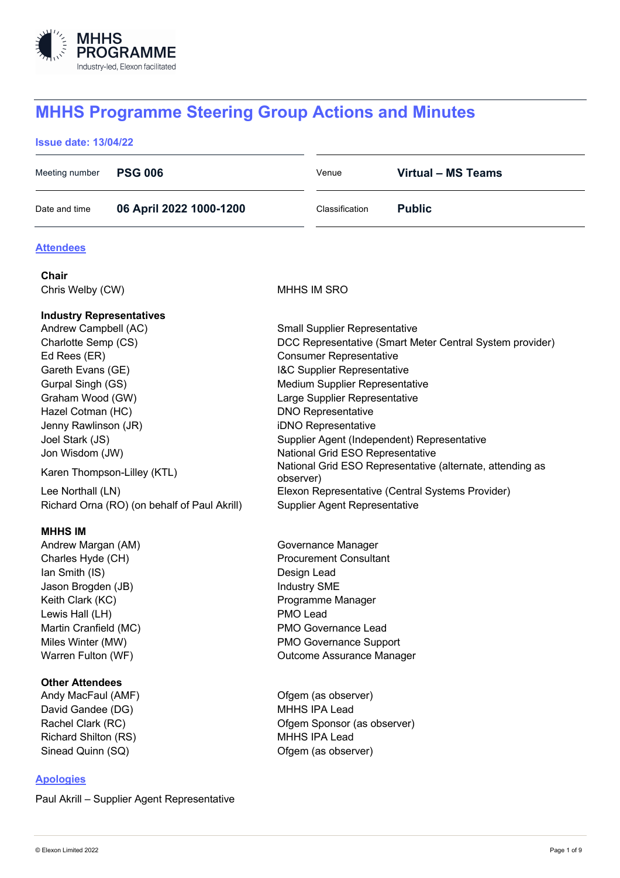

# **MHHS Programme Steering Group Actions and Minutes**

# **Issue date: 13/04/22**

| Meeting number | <b>PSG 006</b>          | Venue          | Virtual - MS Teams |
|----------------|-------------------------|----------------|--------------------|
| Date and time  | 06 April 2022 1000-1200 | Classification | <b>Public</b>      |

# **Attendees**

| Chair                                        |                                                           |
|----------------------------------------------|-----------------------------------------------------------|
| Chris Welby (CW)                             | MHHS IM SRO                                               |
| <b>Industry Representatives</b>              |                                                           |
| Andrew Campbell (AC)                         | <b>Small Supplier Representative</b>                      |
| Charlotte Semp (CS)                          | DCC Representative (Smart Meter Central System provider)  |
| Ed Rees (ER)                                 | <b>Consumer Representative</b>                            |
| Gareth Evans (GE)                            | I&C Supplier Representative                               |
| Gurpal Singh (GS)                            | Medium Supplier Representative                            |
| Graham Wood (GW)                             | Large Supplier Representative                             |
| Hazel Cotman (HC)                            | <b>DNO Representative</b>                                 |
| Jenny Rawlinson (JR)                         | iDNO Representative                                       |
| Joel Stark (JS)                              | Supplier Agent (Independent) Representative               |
| Jon Wisdom (JW)                              | National Grid ESO Representative                          |
| Karen Thompson-Lilley (KTL)                  | National Grid ESO Representative (alternate, attending as |
|                                              | observer)                                                 |
| Lee Northall (LN)                            | Elexon Representative (Central Systems Provider)          |
| Richard Orna (RO) (on behalf of Paul Akrill) | <b>Supplier Agent Representative</b>                      |
| <b>MHHS IM</b>                               |                                                           |
| Andrew Margan (AM)                           | Governance Manager                                        |
| Charles Hyde (CH)                            | <b>Procurement Consultant</b>                             |
| Ian Smith (IS)                               | Design Lead                                               |
| Jason Brogden (JB)                           | Industry SME                                              |
| Keith Clark (KC)                             | Programme Manager                                         |
| Lewis Hall (LH)                              | PMO Lead                                                  |
| Martin Cranfield (MC)                        | <b>PMO Governance Lead</b>                                |
| Miles Winter (MW)                            | PMO Governance Support                                    |
| Warren Fulton (WF)                           | Outcome Assurance Manager                                 |
| <b>Other Attendees</b>                       |                                                           |
| Andy MacFaul (AMF)                           | Ofgem (as observer)                                       |
| David Gandee (DG)                            | <b>MHHS IPA Lead</b>                                      |
| Rachel Clark (RC)                            | Ofgem Sponsor (as observer)                               |
| <b>Richard Shilton (RS)</b>                  | MHHS IPA Lead                                             |
| Sinead Quinn (SQ)                            | Ofgem (as observer)                                       |

# **Apologies**

Paul Akrill – Supplier Agent Representative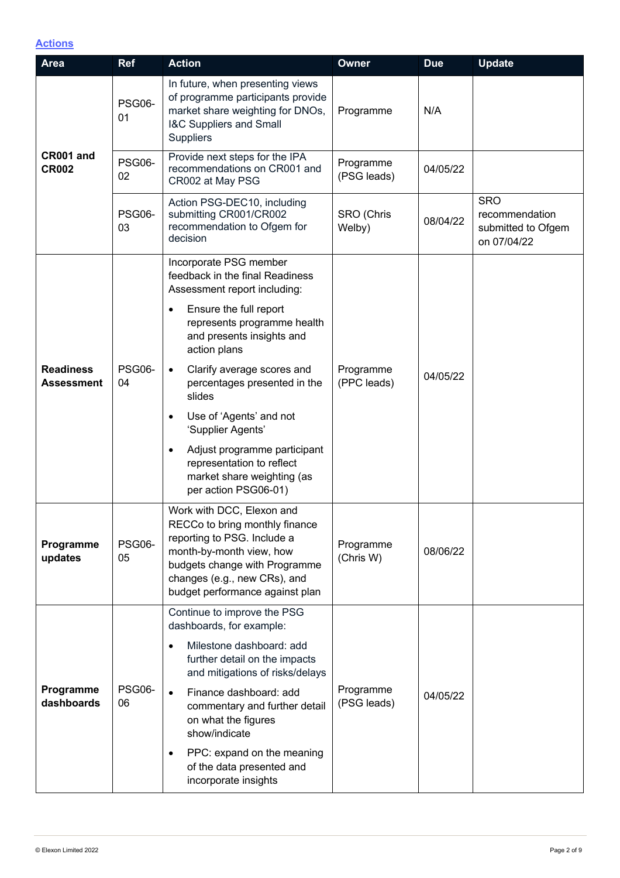# **Actions**

| <b>Area</b>                           | <b>Ref</b>          | <b>Action</b>                                                                                                                                                                                                              | <b>Owner</b>             | <b>Due</b> | <b>Update</b>                                                     |
|---------------------------------------|---------------------|----------------------------------------------------------------------------------------------------------------------------------------------------------------------------------------------------------------------------|--------------------------|------------|-------------------------------------------------------------------|
|                                       | <b>PSG06-</b><br>01 | In future, when presenting views<br>of programme participants provide<br>market share weighting for DNOs,<br><b>I&amp;C Suppliers and Small</b><br><b>Suppliers</b>                                                        | Programme                | N/A        |                                                                   |
| CR001 and<br><b>CR002</b>             | <b>PSG06-</b><br>02 | Provide next steps for the IPA<br>recommendations on CR001 and<br>CR002 at May PSG                                                                                                                                         | Programme<br>(PSG leads) | 04/05/22   |                                                                   |
|                                       | <b>PSG06-</b><br>03 | Action PSG-DEC10, including<br>submitting CR001/CR002<br>recommendation to Ofgem for<br>decision                                                                                                                           | SRO (Chris<br>Welby)     | 08/04/22   | <b>SRO</b><br>recommendation<br>submitted to Ofgem<br>on 07/04/22 |
|                                       |                     | Incorporate PSG member<br>feedback in the final Readiness<br>Assessment report including:                                                                                                                                  |                          |            |                                                                   |
| <b>Readiness</b><br><b>Assessment</b> | <b>PSG06-</b><br>04 | Ensure the full report<br>$\bullet$<br>represents programme health<br>and presents insights and<br>action plans                                                                                                            |                          |            |                                                                   |
|                                       |                     | Clarify average scores and<br>$\bullet$<br>percentages presented in the<br>slides                                                                                                                                          | Programme<br>(PPC leads) | 04/05/22   |                                                                   |
|                                       |                     | Use of 'Agents' and not<br>$\bullet$<br>'Supplier Agents'                                                                                                                                                                  |                          |            |                                                                   |
|                                       |                     | Adjust programme participant<br>$\bullet$<br>representation to reflect<br>market share weighting (as<br>per action PSG06-01)                                                                                               |                          |            |                                                                   |
| Programme<br>updates                  | PSG06-<br>05        | Work with DCC, Elexon and<br>RECCo to bring monthly finance<br>reporting to PSG. Include a<br>month-by-month view, how<br>budgets change with Programme<br>changes (e.g., new CRs), and<br>budget performance against plan | Programme<br>(Chris W)   | 08/06/22   |                                                                   |
|                                       | <b>PSG06-</b><br>06 | Continue to improve the PSG<br>dashboards, for example:                                                                                                                                                                    |                          |            |                                                                   |
| Programme<br>dashboards               |                     | Milestone dashboard: add<br>$\bullet$<br>further detail on the impacts<br>and mitigations of risks/delays                                                                                                                  |                          | 04/05/22   |                                                                   |
|                                       |                     | Finance dashboard: add<br>$\bullet$<br>commentary and further detail<br>on what the figures<br>show/indicate                                                                                                               | Programme<br>(PSG leads) |            |                                                                   |
|                                       |                     | PPC: expand on the meaning<br>$\bullet$<br>of the data presented and<br>incorporate insights                                                                                                                               |                          |            |                                                                   |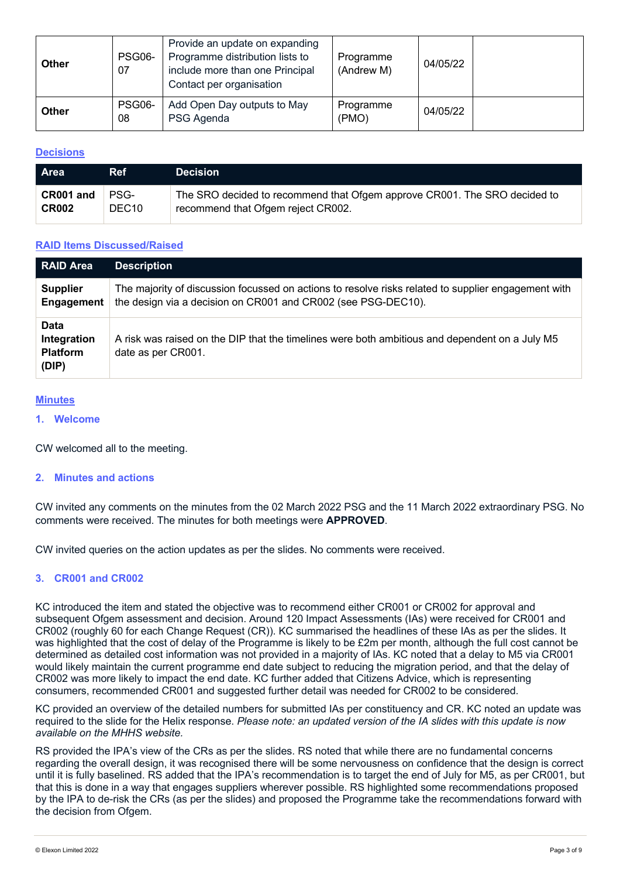| <b>Other</b> | PSG06-<br>07 | Provide an update on expanding<br>Programme distribution lists to<br>include more than one Principal<br>Contact per organisation | Programme<br>(Andrew M) | 04/05/22 |  |
|--------------|--------------|----------------------------------------------------------------------------------------------------------------------------------|-------------------------|----------|--|
| <b>Other</b> | PSG06-<br>08 | Add Open Day outputs to May<br>PSG Agenda                                                                                        | Programme<br>(PMO)      | 04/05/22 |  |

## **Decisions**

| <b>Area</b>  | <b>Ref</b>        | <b>Decision</b>                                                           |
|--------------|-------------------|---------------------------------------------------------------------------|
| CR001 and    | PSG-              | The SRO decided to recommend that Ofgem approve CR001. The SRO decided to |
| <b>CR002</b> | DEC <sub>10</sub> | recommend that Ofgem reject CR002.                                        |

## **RAID Items Discussed/Raised**

| <b>RAID Area</b>                                | <b>Description</b>                                                                                                                                                   |
|-------------------------------------------------|----------------------------------------------------------------------------------------------------------------------------------------------------------------------|
| <b>Supplier</b><br>Engagement                   | The majority of discussion focussed on actions to resolve risks related to supplier engagement with<br>the design via a decision on CR001 and CR002 (see PSG-DEC10). |
| Data<br>Integration<br><b>Platform</b><br>(DIP) | A risk was raised on the DIP that the timelines were both ambitious and dependent on a July M5<br>date as per CR001.                                                 |

## **Minutes**

**1. Welcome**

CW welcomed all to the meeting.

## **2. Minutes and actions**

CW invited any comments on the minutes from the 02 March 2022 PSG and the 11 March 2022 extraordinary PSG. No comments were received. The minutes for both meetings were **APPROVED**.

CW invited queries on the action updates as per the slides. No comments were received.

## **3. CR001 and CR002**

KC introduced the item and stated the objective was to recommend either CR001 or CR002 for approval and subsequent Ofgem assessment and decision. Around 120 Impact Assessments (IAs) were received for CR001 and CR002 (roughly 60 for each Change Request (CR)). KC summarised the headlines of these IAs as per the slides. It was highlighted that the cost of delay of the Programme is likely to be £2m per month, although the full cost cannot be determined as detailed cost information was not provided in a majority of IAs. KC noted that a delay to M5 via CR001 would likely maintain the current programme end date subject to reducing the migration period, and that the delay of CR002 was more likely to impact the end date. KC further added that Citizens Advice, which is representing consumers, recommended CR001 and suggested further detail was needed for CR002 to be considered.

KC provided an overview of the detailed numbers for submitted IAs per constituency and CR. KC noted an update was required to the slide for the Helix response. *Please note: an updated version of the IA slides with this update is now available on the MHHS website.*

RS provided the IPA's view of the CRs as per the slides. RS noted that while there are no fundamental concerns regarding the overall design, it was recognised there will be some nervousness on confidence that the design is correct until it is fully baselined. RS added that the IPA's recommendation is to target the end of July for M5, as per CR001, but that this is done in a way that engages suppliers wherever possible. RS highlighted some recommendations proposed by the IPA to de-risk the CRs (as per the slides) and proposed the Programme take the recommendations forward with the decision from Ofgem.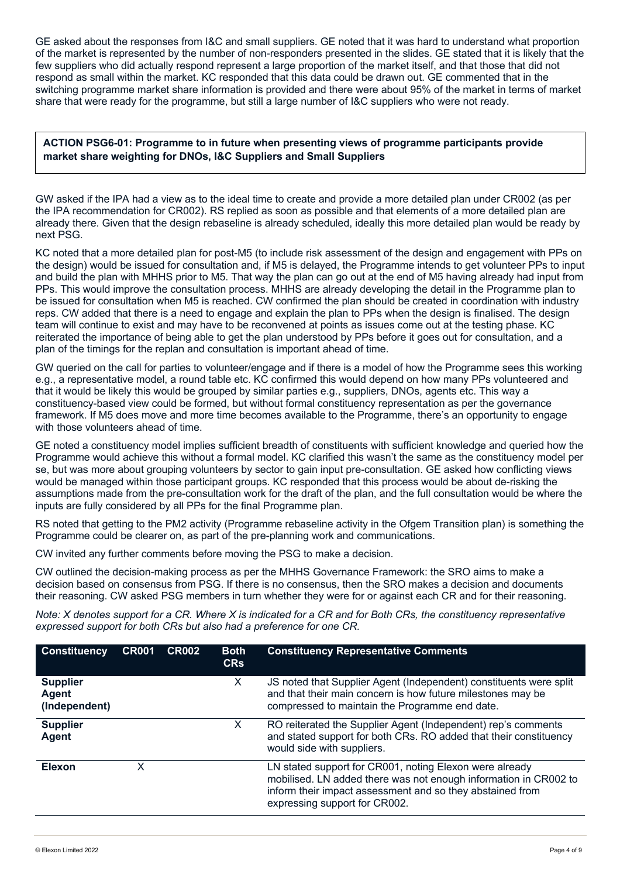GE asked about the responses from I&C and small suppliers. GE noted that it was hard to understand what proportion of the market is represented by the number of non-responders presented in the slides. GE stated that it is likely that the few suppliers who did actually respond represent a large proportion of the market itself, and that those that did not respond as small within the market. KC responded that this data could be drawn out. GE commented that in the switching programme market share information is provided and there were about 95% of the market in terms of market share that were ready for the programme, but still a large number of I&C suppliers who were not ready.

**ACTION PSG6-01: Programme to in future when presenting views of programme participants provide market share weighting for DNOs, I&C Suppliers and Small Suppliers**

GW asked if the IPA had a view as to the ideal time to create and provide a more detailed plan under CR002 (as per the IPA recommendation for CR002). RS replied as soon as possible and that elements of a more detailed plan are already there. Given that the design rebaseline is already scheduled, ideally this more detailed plan would be ready by next PSG.

KC noted that a more detailed plan for post-M5 (to include risk assessment of the design and engagement with PPs on the design) would be issued for consultation and, if M5 is delayed, the Programme intends to get volunteer PPs to input and build the plan with MHHS prior to M5. That way the plan can go out at the end of M5 having already had input from PPs. This would improve the consultation process. MHHS are already developing the detail in the Programme plan to be issued for consultation when M5 is reached. CW confirmed the plan should be created in coordination with industry reps. CW added that there is a need to engage and explain the plan to PPs when the design is finalised. The design team will continue to exist and may have to be reconvened at points as issues come out at the testing phase. KC reiterated the importance of being able to get the plan understood by PPs before it goes out for consultation, and a plan of the timings for the replan and consultation is important ahead of time.

GW queried on the call for parties to volunteer/engage and if there is a model of how the Programme sees this working e.g., a representative model, a round table etc. KC confirmed this would depend on how many PPs volunteered and that it would be likely this would be grouped by similar parties e.g., suppliers, DNOs, agents etc. This way a constituency-based view could be formed, but without formal constituency representation as per the governance framework. If M5 does move and more time becomes available to the Programme, there's an opportunity to engage with those volunteers ahead of time.

GE noted a constituency model implies sufficient breadth of constituents with sufficient knowledge and queried how the Programme would achieve this without a formal model. KC clarified this wasn't the same as the constituency model per se, but was more about grouping volunteers by sector to gain input pre-consultation. GE asked how conflicting views would be managed within those participant groups. KC responded that this process would be about de-risking the assumptions made from the pre-consultation work for the draft of the plan, and the full consultation would be where the inputs are fully considered by all PPs for the final Programme plan.

RS noted that getting to the PM2 activity (Programme rebaseline activity in the Ofgem Transition plan) is something the Programme could be clearer on, as part of the pre-planning work and communications.

CW invited any further comments before moving the PSG to make a decision.

CW outlined the decision-making process as per the MHHS Governance Framework: the SRO aims to make a decision based on consensus from PSG. If there is no consensus, then the SRO makes a decision and documents their reasoning. CW asked PSG members in turn whether they were for or against each CR and for their reasoning.

*Note: X denotes support for a CR. Where X is indicated for a CR and for Both CRs, the constituency representative expressed support for both CRs but also had a preference for one CR.*

| <b>Constituency</b>                       | <b>CR001</b> | <b>CR002</b> | <b>Both</b><br><b>CRs</b> | <b>Constituency Representative Comments</b>                                                                                                                                                                               |
|-------------------------------------------|--------------|--------------|---------------------------|---------------------------------------------------------------------------------------------------------------------------------------------------------------------------------------------------------------------------|
| <b>Supplier</b><br>Agent<br>(Independent) |              |              | X                         | JS noted that Supplier Agent (Independent) constituents were split<br>and that their main concern is how future milestones may be<br>compressed to maintain the Programme end date.                                       |
| <b>Supplier</b><br>Agent                  |              |              | X                         | RO reiterated the Supplier Agent (Independent) rep's comments<br>and stated support for both CRs. RO added that their constituency<br>would side with suppliers.                                                          |
| <b>Elexon</b>                             | x            |              |                           | LN stated support for CR001, noting Elexon were already<br>mobilised. LN added there was not enough information in CR002 to<br>inform their impact assessment and so they abstained from<br>expressing support for CR002. |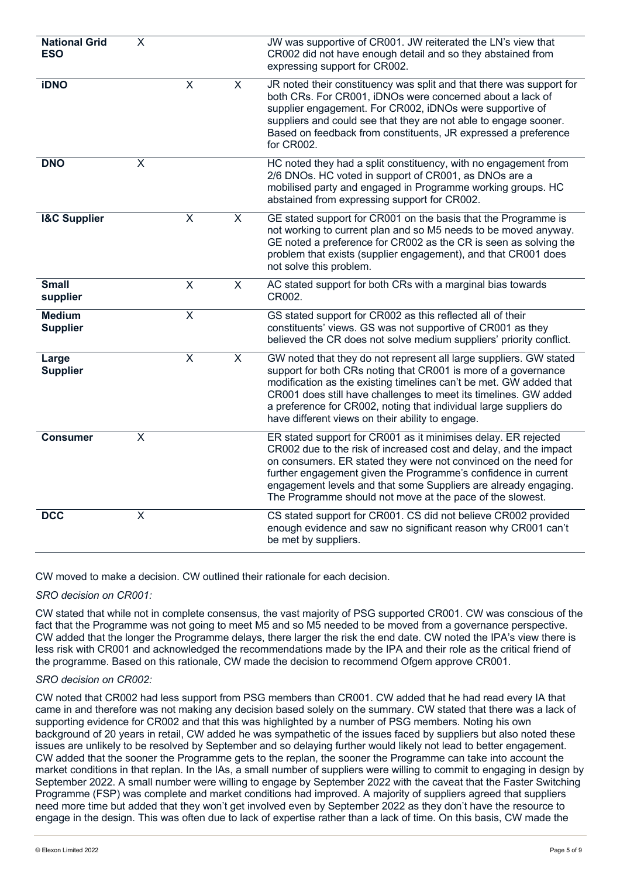| <b>National Grid</b><br><b>ESO</b> | $\overline{\mathsf{x}}$   |                         |                         | JW was supportive of CR001. JW reiterated the LN's view that<br>CR002 did not have enough detail and so they abstained from<br>expressing support for CR002.                                                                                                                                                                                                                                             |
|------------------------------------|---------------------------|-------------------------|-------------------------|----------------------------------------------------------------------------------------------------------------------------------------------------------------------------------------------------------------------------------------------------------------------------------------------------------------------------------------------------------------------------------------------------------|
| <b>iDNO</b>                        |                           | X                       | $\pmb{\times}$          | JR noted their constituency was split and that there was support for<br>both CRs. For CR001, iDNOs were concerned about a lack of<br>supplier engagement. For CR002, iDNOs were supportive of<br>suppliers and could see that they are not able to engage sooner.<br>Based on feedback from constituents, JR expressed a preference<br>for CR002.                                                        |
| <b>DNO</b>                         | $\mathsf X$               |                         |                         | HC noted they had a split constituency, with no engagement from<br>2/6 DNOs. HC voted in support of CR001, as DNOs are a<br>mobilised party and engaged in Programme working groups. HC<br>abstained from expressing support for CR002.                                                                                                                                                                  |
| <b>I&amp;C Supplier</b>            |                           | X                       | $\pmb{\times}$          | GE stated support for CR001 on the basis that the Programme is<br>not working to current plan and so M5 needs to be moved anyway.<br>GE noted a preference for CR002 as the CR is seen as solving the<br>problem that exists (supplier engagement), and that CR001 does<br>not solve this problem.                                                                                                       |
| <b>Small</b><br>supplier           |                           | $\overline{X}$          | X                       | AC stated support for both CRs with a marginal bias towards<br>CR002.                                                                                                                                                                                                                                                                                                                                    |
| <b>Medium</b><br><b>Supplier</b>   |                           | X                       |                         | GS stated support for CR002 as this reflected all of their<br>constituents' views. GS was not supportive of CR001 as they<br>believed the CR does not solve medium suppliers' priority conflict.                                                                                                                                                                                                         |
| Large<br><b>Supplier</b>           |                           | $\overline{\mathsf{x}}$ | $\overline{\mathsf{x}}$ | GW noted that they do not represent all large suppliers. GW stated<br>support for both CRs noting that CR001 is more of a governance<br>modification as the existing timelines can't be met. GW added that<br>CR001 does still have challenges to meet its timelines. GW added<br>a preference for CR002, noting that individual large suppliers do<br>have different views on their ability to engage.  |
| <b>Consumer</b>                    | $\mathsf X$               |                         |                         | ER stated support for CR001 as it minimises delay. ER rejected<br>CR002 due to the risk of increased cost and delay, and the impact<br>on consumers. ER stated they were not convinced on the need for<br>further engagement given the Programme's confidence in current<br>engagement levels and that some Suppliers are already engaging.<br>The Programme should not move at the pace of the slowest. |
| <b>DCC</b>                         | $\boldsymbol{\mathsf{X}}$ |                         |                         | CS stated support for CR001. CS did not believe CR002 provided<br>enough evidence and saw no significant reason why CR001 can't<br>be met by suppliers.                                                                                                                                                                                                                                                  |

CW moved to make a decision. CW outlined their rationale for each decision.

# *SRO decision on CR001:*

CW stated that while not in complete consensus, the vast majority of PSG supported CR001. CW was conscious of the fact that the Programme was not going to meet M5 and so M5 needed to be moved from a governance perspective. CW added that the longer the Programme delays, there larger the risk the end date. CW noted the IPA's view there is less risk with CR001 and acknowledged the recommendations made by the IPA and their role as the critical friend of the programme. Based on this rationale, CW made the decision to recommend Ofgem approve CR001.

## *SRO decision on CR002:*

CW noted that CR002 had less support from PSG members than CR001. CW added that he had read every IA that came in and therefore was not making any decision based solely on the summary. CW stated that there was a lack of supporting evidence for CR002 and that this was highlighted by a number of PSG members. Noting his own background of 20 years in retail, CW added he was sympathetic of the issues faced by suppliers but also noted these issues are unlikely to be resolved by September and so delaying further would likely not lead to better engagement. CW added that the sooner the Programme gets to the replan, the sooner the Programme can take into account the market conditions in that replan. In the IAs, a small number of suppliers were willing to commit to engaging in design by September 2022. A small number were willing to engage by September 2022 with the caveat that the Faster Switching Programme (FSP) was complete and market conditions had improved. A majority of suppliers agreed that suppliers need more time but added that they won't get involved even by September 2022 as they don't have the resource to engage in the design. This was often due to lack of expertise rather than a lack of time. On this basis, CW made the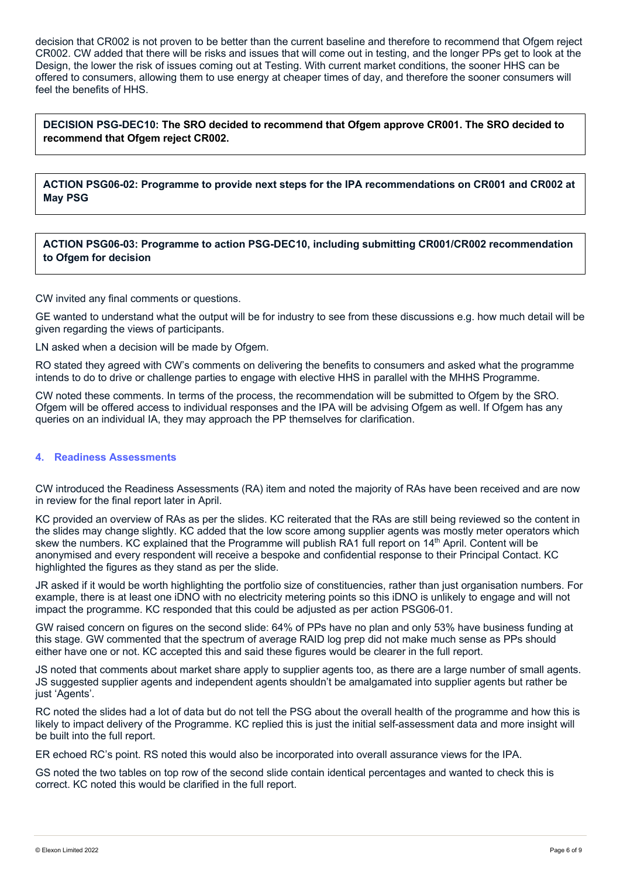decision that CR002 is not proven to be better than the current baseline and therefore to recommend that Ofgem reject CR002. CW added that there will be risks and issues that will come out in testing, and the longer PPs get to look at the Design, the lower the risk of issues coming out at Testing. With current market conditions, the sooner HHS can be offered to consumers, allowing them to use energy at cheaper times of day, and therefore the sooner consumers will feel the benefits of HHS.

**DECISION PSG-DEC10: The SRO decided to recommend that Ofgem approve CR001. The SRO decided to recommend that Ofgem reject CR002.**

**ACTION PSG06-02: Programme to provide next steps for the IPA recommendations on CR001 and CR002 at May PSG**

**ACTION PSG06-03: Programme to action PSG-DEC10, including submitting CR001/CR002 recommendation to Ofgem for decision**

CW invited any final comments or questions.

GE wanted to understand what the output will be for industry to see from these discussions e.g. how much detail will be given regarding the views of participants.

LN asked when a decision will be made by Ofgem.

RO stated they agreed with CW's comments on delivering the benefits to consumers and asked what the programme intends to do to drive or challenge parties to engage with elective HHS in parallel with the MHHS Programme.

CW noted these comments. In terms of the process, the recommendation will be submitted to Ofgem by the SRO. Ofgem will be offered access to individual responses and the IPA will be advising Ofgem as well. If Ofgem has any queries on an individual IA, they may approach the PP themselves for clarification.

#### **4. Readiness Assessments**

CW introduced the Readiness Assessments (RA) item and noted the majority of RAs have been received and are now in review for the final report later in April.

KC provided an overview of RAs as per the slides. KC reiterated that the RAs are still being reviewed so the content in the slides may change slightly. KC added that the low score among supplier agents was mostly meter operators which skew the numbers. KC explained that the Programme will publish RA1 full report on 14<sup>th</sup> April. Content will be anonymised and every respondent will receive a bespoke and confidential response to their Principal Contact. KC highlighted the figures as they stand as per the slide.

JR asked if it would be worth highlighting the portfolio size of constituencies, rather than just organisation numbers. For example, there is at least one iDNO with no electricity metering points so this iDNO is unlikely to engage and will not impact the programme. KC responded that this could be adjusted as per action PSG06-01.

GW raised concern on figures on the second slide: 64% of PPs have no plan and only 53% have business funding at this stage. GW commented that the spectrum of average RAID log prep did not make much sense as PPs should either have one or not. KC accepted this and said these figures would be clearer in the full report.

JS noted that comments about market share apply to supplier agents too, as there are a large number of small agents. JS suggested supplier agents and independent agents shouldn't be amalgamated into supplier agents but rather be just 'Agents'.

RC noted the slides had a lot of data but do not tell the PSG about the overall health of the programme and how this is likely to impact delivery of the Programme. KC replied this is just the initial self-assessment data and more insight will be built into the full report.

ER echoed RC's point. RS noted this would also be incorporated into overall assurance views for the IPA.

GS noted the two tables on top row of the second slide contain identical percentages and wanted to check this is correct. KC noted this would be clarified in the full report.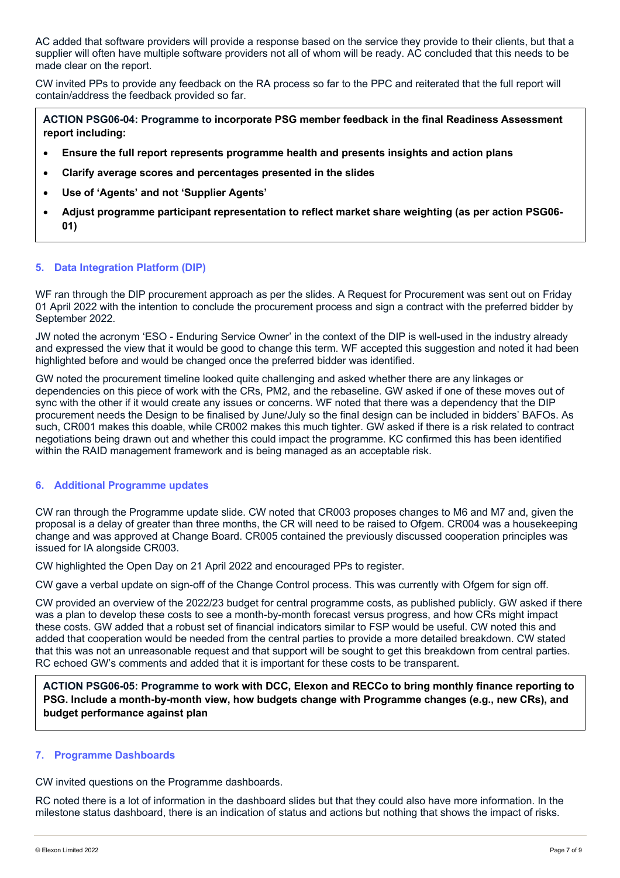AC added that software providers will provide a response based on the service they provide to their clients, but that a supplier will often have multiple software providers not all of whom will be ready. AC concluded that this needs to be made clear on the report.

CW invited PPs to provide any feedback on the RA process so far to the PPC and reiterated that the full report will contain/address the feedback provided so far.

**ACTION PSG06-04: Programme to incorporate PSG member feedback in the final Readiness Assessment report including:**

- **Ensure the full report represents programme health and presents insights and action plans**
- **Clarify average scores and percentages presented in the slides**
- **Use of 'Agents' and not 'Supplier Agents'**
- **Adjust programme participant representation to reflect market share weighting (as per action PSG06- 01)**

#### **5. Data Integration Platform (DIP)**

WF ran through the DIP procurement approach as per the slides. A Request for Procurement was sent out on Friday 01 April 2022 with the intention to conclude the procurement process and sign a contract with the preferred bidder by September 2022.

JW noted the acronym 'ESO - Enduring Service Owner' in the context of the DIP is well-used in the industry already and expressed the view that it would be good to change this term. WF accepted this suggestion and noted it had been highlighted before and would be changed once the preferred bidder was identified.

GW noted the procurement timeline looked quite challenging and asked whether there are any linkages or dependencies on this piece of work with the CRs, PM2, and the rebaseline. GW asked if one of these moves out of sync with the other if it would create any issues or concerns. WF noted that there was a dependency that the DIP procurement needs the Design to be finalised by June/July so the final design can be included in bidders' BAFOs. As such, CR001 makes this doable, while CR002 makes this much tighter. GW asked if there is a risk related to contract negotiations being drawn out and whether this could impact the programme. KC confirmed this has been identified within the RAID management framework and is being managed as an acceptable risk.

#### **6. Additional Programme updates**

CW ran through the Programme update slide. CW noted that CR003 proposes changes to M6 and M7 and, given the proposal is a delay of greater than three months, the CR will need to be raised to Ofgem. CR004 was a housekeeping change and was approved at Change Board. CR005 contained the previously discussed cooperation principles was issued for IA alongside CR003.

CW highlighted the Open Day on 21 April 2022 and encouraged PPs to register.

CW gave a verbal update on sign-off of the Change Control process. This was currently with Ofgem for sign off.

CW provided an overview of the 2022/23 budget for central programme costs, as published publicly. GW asked if there was a plan to develop these costs to see a month-by-month forecast versus progress, and how CRs might impact these costs. GW added that a robust set of financial indicators similar to FSP would be useful. CW noted this and added that cooperation would be needed from the central parties to provide a more detailed breakdown. CW stated that this was not an unreasonable request and that support will be sought to get this breakdown from central parties. RC echoed GW's comments and added that it is important for these costs to be transparent.

**ACTION PSG06-05: Programme to work with DCC, Elexon and RECCo to bring monthly finance reporting to PSG. Include a month-by-month view, how budgets change with Programme changes (e.g., new CRs), and budget performance against plan**

#### **7. Programme Dashboards**

CW invited questions on the Programme dashboards.

RC noted there is a lot of information in the dashboard slides but that they could also have more information. In the milestone status dashboard, there is an indication of status and actions but nothing that shows the impact of risks.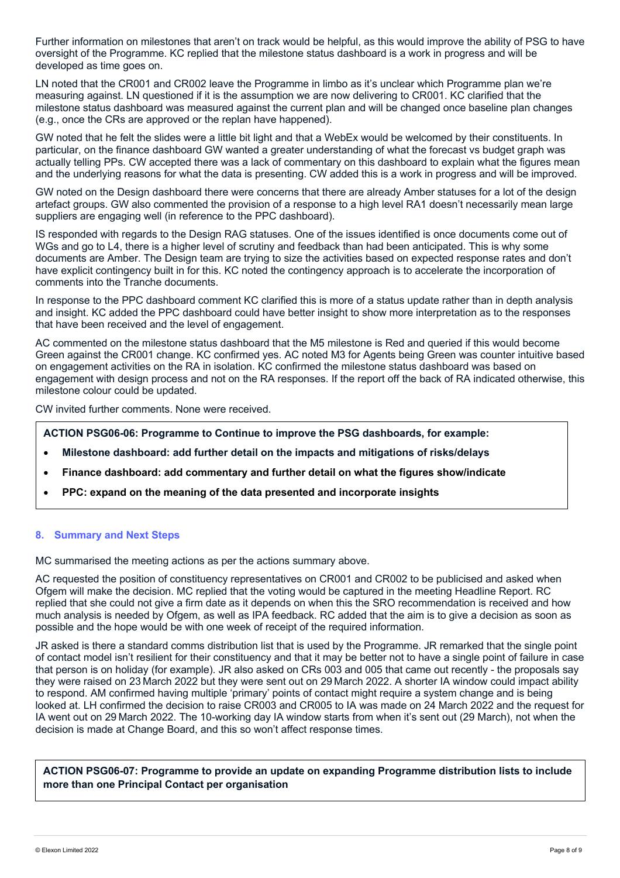Further information on milestones that aren't on track would be helpful, as this would improve the ability of PSG to have oversight of the Programme. KC replied that the milestone status dashboard is a work in progress and will be developed as time goes on.

LN noted that the CR001 and CR002 leave the Programme in limbo as it's unclear which Programme plan we're measuring against. LN questioned if it is the assumption we are now delivering to CR001. KC clarified that the milestone status dashboard was measured against the current plan and will be changed once baseline plan changes (e.g., once the CRs are approved or the replan have happened).

GW noted that he felt the slides were a little bit light and that a WebEx would be welcomed by their constituents. In particular, on the finance dashboard GW wanted a greater understanding of what the forecast vs budget graph was actually telling PPs. CW accepted there was a lack of commentary on this dashboard to explain what the figures mean and the underlying reasons for what the data is presenting. CW added this is a work in progress and will be improved.

GW noted on the Design dashboard there were concerns that there are already Amber statuses for a lot of the design artefact groups. GW also commented the provision of a response to a high level RA1 doesn't necessarily mean large suppliers are engaging well (in reference to the PPC dashboard).

IS responded with regards to the Design RAG statuses. One of the issues identified is once documents come out of WGs and go to L4, there is a higher level of scrutiny and feedback than had been anticipated. This is why some documents are Amber. The Design team are trying to size the activities based on expected response rates and don't have explicit contingency built in for this. KC noted the contingency approach is to accelerate the incorporation of comments into the Tranche documents.

In response to the PPC dashboard comment KC clarified this is more of a status update rather than in depth analysis and insight. KC added the PPC dashboard could have better insight to show more interpretation as to the responses that have been received and the level of engagement.

AC commented on the milestone status dashboard that the M5 milestone is Red and queried if this would become Green against the CR001 change. KC confirmed yes. AC noted M3 for Agents being Green was counter intuitive based on engagement activities on the RA in isolation. KC confirmed the milestone status dashboard was based on engagement with design process and not on the RA responses. If the report off the back of RA indicated otherwise, this milestone colour could be updated.

CW invited further comments. None were received.

**ACTION PSG06-06: Programme to Continue to improve the PSG dashboards, for example:**

- **Milestone dashboard: add further detail on the impacts and mitigations of risks/delays**
- **Finance dashboard: add commentary and further detail on what the figures show/indicate**
- **PPC: expand on the meaning of the data presented and incorporate insights**

## **8. Summary and Next Steps**

MC summarised the meeting actions as per the actions summary above.

AC requested the position of constituency representatives on CR001 and CR002 to be publicised and asked when Ofgem will make the decision. MC replied that the voting would be captured in the meeting Headline Report. RC replied that she could not give a firm date as it depends on when this the SRO recommendation is received and how much analysis is needed by Ofgem, as well as IPA feedback. RC added that the aim is to give a decision as soon as possible and the hope would be with one week of receipt of the required information.

JR asked is there a standard comms distribution list that is used by the Programme. JR remarked that the single point of contact model isn't resilient for their constituency and that it may be better not to have a single point of failure in case that person is on holiday (for example). JR also asked on CRs 003 and 005 that came out recently - the proposals say they were raised on 23 March 2022 but they were sent out on 29 March 2022. A shorter IA window could impact ability to respond. AM confirmed having multiple 'primary' points of contact might require a system change and is being looked at. LH confirmed the decision to raise CR003 and CR005 to IA was made on 24 March 2022 and the request for IA went out on 29 March 2022. The 10-working day IA window starts from when it's sent out (29 March), not when the decision is made at Change Board, and this so won't affect response times.

**ACTION PSG06-07: Programme to provide an update on expanding Programme distribution lists to include more than one Principal Contact per organisation**